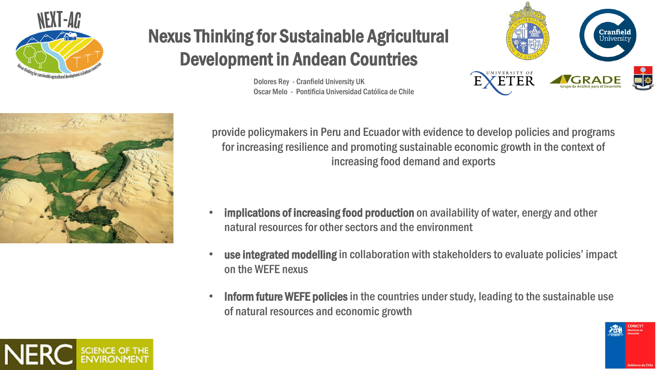



## Nexus Thinking for Sustainable Agricultural Development in Andean Countries

Dolores Rey - Cranfield University UK Oscar Melo - Pontificia Universidad Católica de Chile



provide policymakers in Peru and Ecuador with evidence to develop policies and programs for increasing resilience and promoting sustainable economic growth in the context of increasing food demand and exports

- implications of increasing food production on availability of water, energy and other natural resources for other sectors and the environment
- use integrated modelling in collaboration with stakeholders to evaluate policies' impact on the WEFE nexus
- Inform future WEFE policies in the countries under study, leading to the sustainable use of natural resources and economic growth